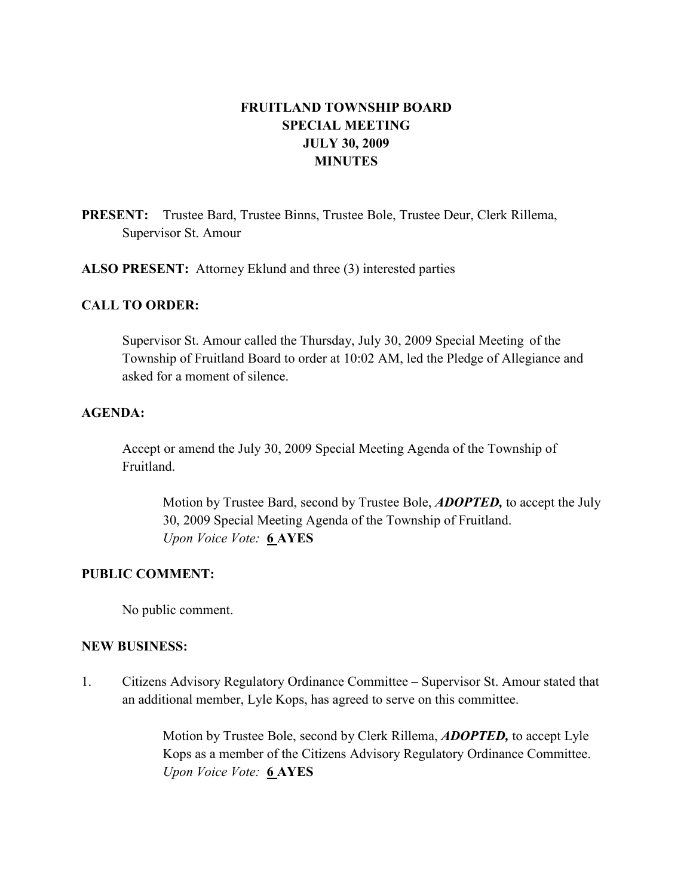# FRUITLAND TOWNSHIP BOARD SPECIAL MEETING JULY 30, 2009 MINUTES

PRESENT: Trustee Bard, Trustee Binns, Trustee Bole, Trustee Deur, Clerk Rillema, Supervisor St. Amour

ALSO PRESENT: Attorney Eklund and three (3) interested parties

## CALL TO ORDER:

Supervisor St. Amour called the Thursday, July 30, 2009 Special Meeting of the Township of Fruitland Board to order at 10:02 AM, led the Pledge of Allegiance and asked for a moment of silence.

## AGENDA:

Accept or amend the July 30, 2009 Special Meeting Agenda of the Township of Fruitland.

Motion by Trustee Bard, second by Trustee Bole, **ADOPTED**, to accept the July 30, 2009 Special Meeting Agenda of the Township of Fruitland. Upon Voice Vote: 6 AYES

### PUBLIC COMMENT:

No public comment.

#### NEW BUSINESS:

1. Citizens Advisory Regulatory Ordinance Committee – Supervisor St. Amour stated that an additional member, Lyle Kops, has agreed to serve on this committee.

> Motion by Trustee Bole, second by Clerk Rillema, **ADOPTED**, to accept Lyle Kops as a member of the Citizens Advisory Regulatory Ordinance Committee. Upon Voice Vote: 6 AYES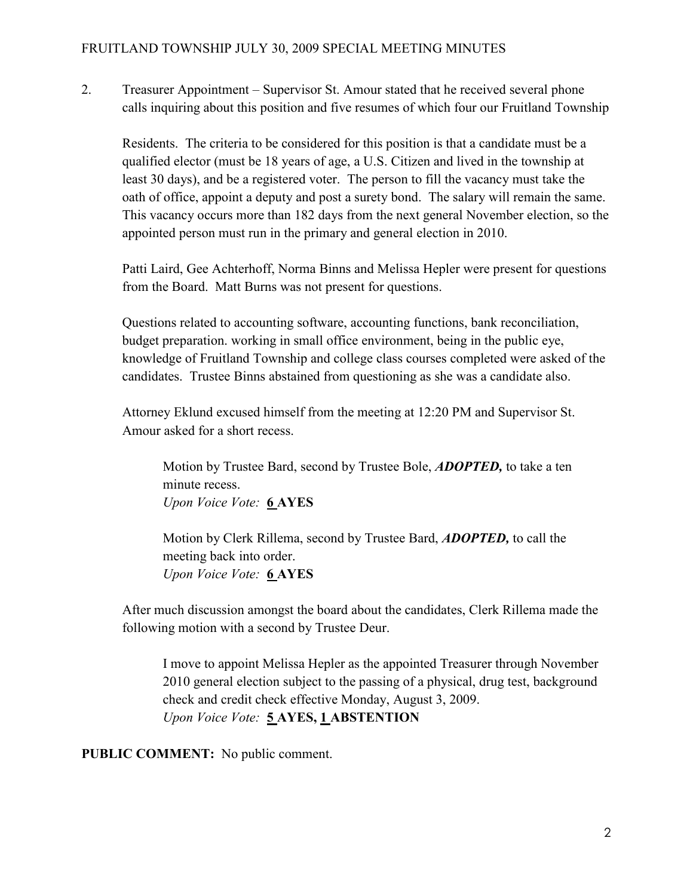2. Treasurer Appointment – Supervisor St. Amour stated that he received several phone calls inquiring about this position and five resumes of which four our Fruitland Township

 Residents. The criteria to be considered for this position is that a candidate must be a qualified elector (must be 18 years of age, a U.S. Citizen and lived in the township at least 30 days), and be a registered voter. The person to fill the vacancy must take the oath of office, appoint a deputy and post a surety bond. The salary will remain the same. This vacancy occurs more than 182 days from the next general November election, so the appointed person must run in the primary and general election in 2010.

 Patti Laird, Gee Achterhoff, Norma Binns and Melissa Hepler were present for questions from the Board. Matt Burns was not present for questions.

 Questions related to accounting software, accounting functions, bank reconciliation, budget preparation. working in small office environment, being in the public eye, knowledge of Fruitland Township and college class courses completed were asked of the candidates. Trustee Binns abstained from questioning as she was a candidate also.

 Attorney Eklund excused himself from the meeting at 12:20 PM and Supervisor St. Amour asked for a short recess.

Motion by Trustee Bard, second by Trustee Bole, **ADOPTED**, to take a ten minute recess. Upon Voice Vote: 6 AYES

Motion by Clerk Rillema, second by Trustee Bard, **ADOPTED**, to call the meeting back into order. Upon Voice Vote: 6 AYES

 After much discussion amongst the board about the candidates, Clerk Rillema made the following motion with a second by Trustee Deur.

 I move to appoint Melissa Hepler as the appointed Treasurer through November 2010 general election subject to the passing of a physical, drug test, background check and credit check effective Monday, August 3, 2009. Upon Voice Vote: 5 AYES, 1 ABSTENTION

PUBLIC COMMENT: No public comment.